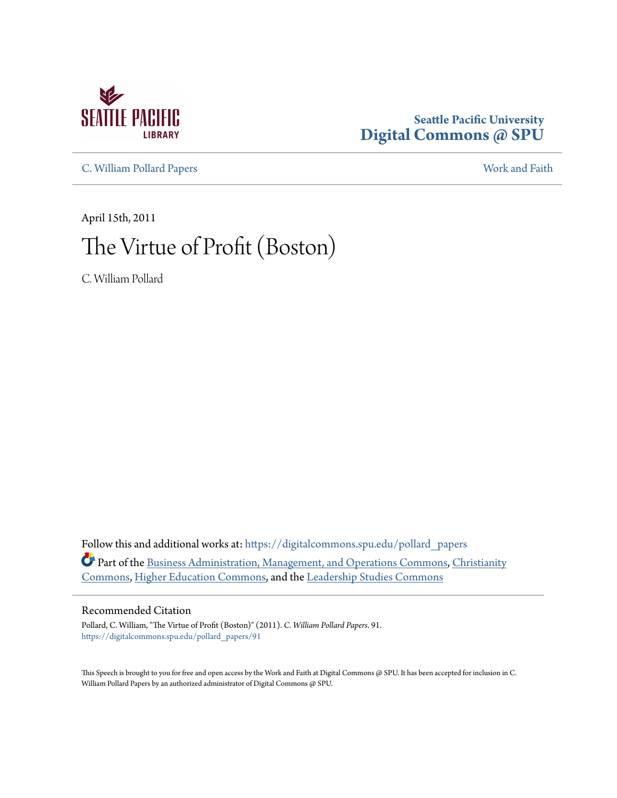

### **Seattle Pacific University [Digital Commons @ SPU](https://digitalcommons.spu.edu?utm_source=digitalcommons.spu.edu%2Fpollard_papers%2F91&utm_medium=PDF&utm_campaign=PDFCoverPages)**

[C. William Pollard Papers](https://digitalcommons.spu.edu/pollard_papers?utm_source=digitalcommons.spu.edu%2Fpollard_papers%2F91&utm_medium=PDF&utm_campaign=PDFCoverPages) [Work and Faith](https://digitalcommons.spu.edu/work_faith?utm_source=digitalcommons.spu.edu%2Fpollard_papers%2F91&utm_medium=PDF&utm_campaign=PDFCoverPages)

April 15th, 2011 The Virtue of Profit (Boston)

C. William Pollard

Follow this and additional works at: [https://digitalcommons.spu.edu/pollard\\_papers](https://digitalcommons.spu.edu/pollard_papers?utm_source=digitalcommons.spu.edu%2Fpollard_papers%2F91&utm_medium=PDF&utm_campaign=PDFCoverPages) Part of the [Business Administration, Management, and Operations Commons](http://network.bepress.com/hgg/discipline/623?utm_source=digitalcommons.spu.edu%2Fpollard_papers%2F91&utm_medium=PDF&utm_campaign=PDFCoverPages), [Christianity](http://network.bepress.com/hgg/discipline/1181?utm_source=digitalcommons.spu.edu%2Fpollard_papers%2F91&utm_medium=PDF&utm_campaign=PDFCoverPages) [Commons,](http://network.bepress.com/hgg/discipline/1181?utm_source=digitalcommons.spu.edu%2Fpollard_papers%2F91&utm_medium=PDF&utm_campaign=PDFCoverPages) [Higher Education Commons,](http://network.bepress.com/hgg/discipline/1245?utm_source=digitalcommons.spu.edu%2Fpollard_papers%2F91&utm_medium=PDF&utm_campaign=PDFCoverPages) and the [Leadership Studies Commons](http://network.bepress.com/hgg/discipline/1250?utm_source=digitalcommons.spu.edu%2Fpollard_papers%2F91&utm_medium=PDF&utm_campaign=PDFCoverPages)

#### Recommended Citation

Pollard, C. William, "The Virtue of Profit (Boston)" (2011). *C. William Pollard Papers*. 91. [https://digitalcommons.spu.edu/pollard\\_papers/91](https://digitalcommons.spu.edu/pollard_papers/91?utm_source=digitalcommons.spu.edu%2Fpollard_papers%2F91&utm_medium=PDF&utm_campaign=PDFCoverPages)

This Speech is brought to you for free and open access by the Work and Faith at Digital Commons @ SPU. It has been accepted for inclusion in C. William Pollard Papers by an authorized administrator of Digital Commons @ SPU.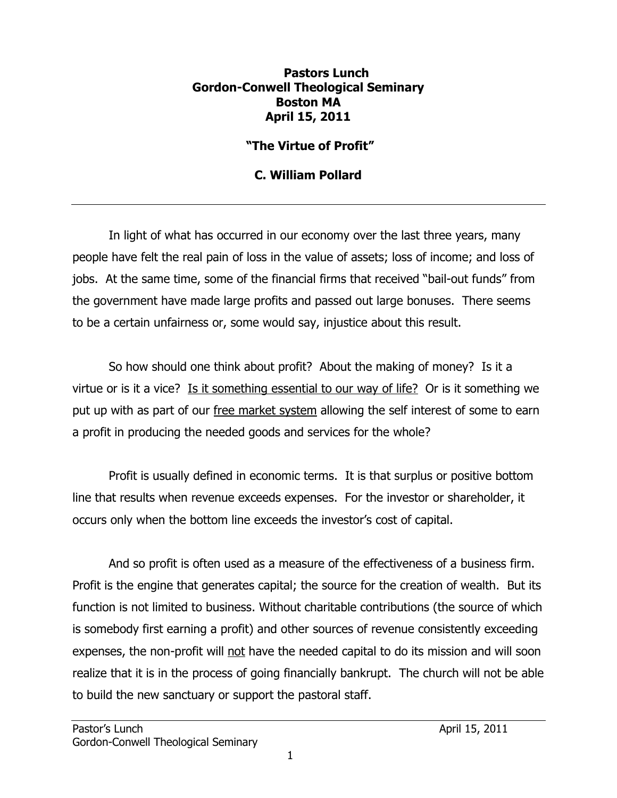### **Pastors Lunch Gordon-Conwell Theological Seminary Boston MA April 15, 2011**

# **"The Virtue of Profit"**

# **C. William Pollard**

In light of what has occurred in our economy over the last three years, many people have felt the real pain of loss in the value of assets; loss of income; and loss of jobs. At the same time, some of the financial firms that received "bail-out funds" from the government have made large profits and passed out large bonuses. There seems to be a certain unfairness or, some would say, injustice about this result.

So how should one think about profit? About the making of money? Is it a virtue or is it a vice? Is it something essential to our way of life? Or is it something we put up with as part of our free market system allowing the self interest of some to earn a profit in producing the needed goods and services for the whole?

Profit is usually defined in economic terms. It is that surplus or positive bottom line that results when revenue exceeds expenses. For the investor or shareholder, it occurs only when the bottom line exceeds the investor's cost of capital.

And so profit is often used as a measure of the effectiveness of a business firm. Profit is the engine that generates capital; the source for the creation of wealth. But its function is not limited to business. Without charitable contributions (the source of which is somebody first earning a profit) and other sources of revenue consistently exceeding expenses, the non-profit will not have the needed capital to do its mission and will soon realize that it is in the process of going financially bankrupt. The church will not be able to build the new sanctuary or support the pastoral staff.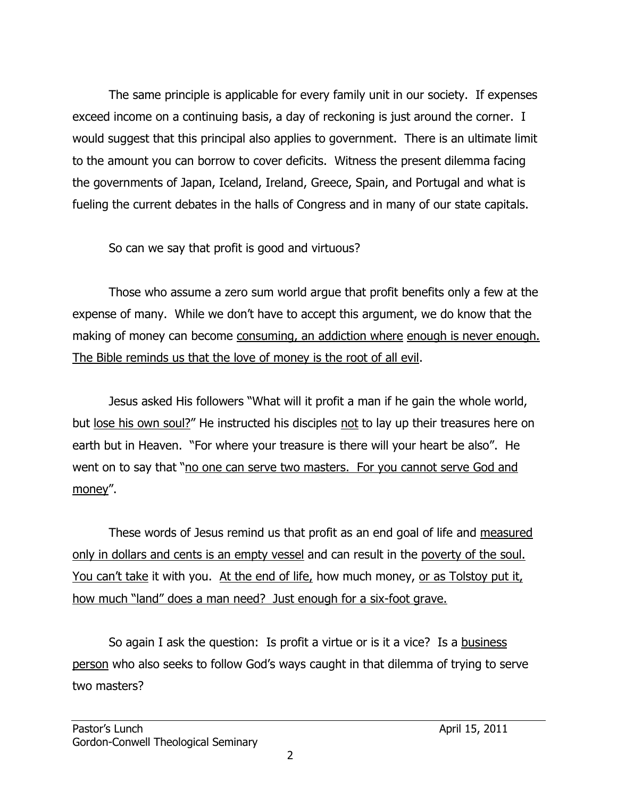The same principle is applicable for every family unit in our society. If expenses exceed income on a continuing basis, a day of reckoning is just around the corner. I would suggest that this principal also applies to government. There is an ultimate limit to the amount you can borrow to cover deficits. Witness the present dilemma facing the governments of Japan, Iceland, Ireland, Greece, Spain, and Portugal and what is fueling the current debates in the halls of Congress and in many of our state capitals.

So can we say that profit is good and virtuous?

Those who assume a zero sum world argue that profit benefits only a few at the expense of many. While we don't have to accept this argument, we do know that the making of money can become consuming, an addiction where enough is never enough. The Bible reminds us that the love of money is the root of all evil.

Jesus asked His followers "What will it profit a man if he gain the whole world, but lose his own soul?" He instructed his disciples not to lay up their treasures here on earth but in Heaven. "For where your treasure is there will your heart be also". He went on to say that "no one can serve two masters. For you cannot serve God and money".

These words of Jesus remind us that profit as an end goal of life and measured only in dollars and cents is an empty vessel and can result in the poverty of the soul. You can't take it with you. At the end of life, how much money, or as Tolstoy put it, how much "land" does a man need? Just enough for a six-foot grave.

So again I ask the question: Is profit a virtue or is it a vice? Is a business person who also seeks to follow God's ways caught in that dilemma of trying to serve two masters?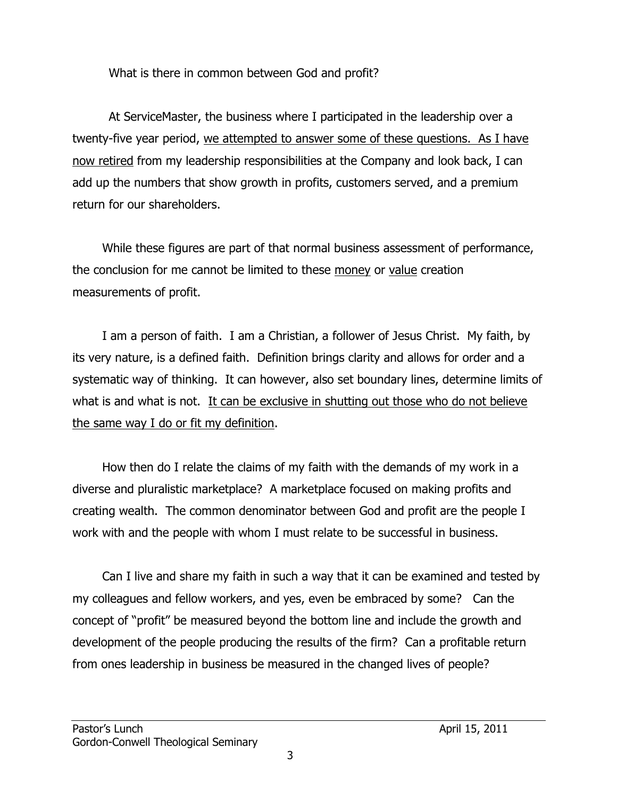What is there in common between God and profit?

At ServiceMaster, the business where I participated in the leadership over a twenty-five year period, we attempted to answer some of these questions. As I have now retired from my leadership responsibilities at the Company and look back, I can add up the numbers that show growth in profits, customers served, and a premium return for our shareholders.

While these figures are part of that normal business assessment of performance, the conclusion for me cannot be limited to these money or value creation measurements of profit.

I am a person of faith. I am a Christian, a follower of Jesus Christ. My faith, by its very nature, is a defined faith. Definition brings clarity and allows for order and a systematic way of thinking. It can however, also set boundary lines, determine limits of what is and what is not. It can be exclusive in shutting out those who do not believe the same way I do or fit my definition.

How then do I relate the claims of my faith with the demands of my work in a diverse and pluralistic marketplace? A marketplace focused on making profits and creating wealth. The common denominator between God and profit are the people I work with and the people with whom I must relate to be successful in business.

Can I live and share my faith in such a way that it can be examined and tested by my colleagues and fellow workers, and yes, even be embraced by some? Can the concept of "profit" be measured beyond the bottom line and include the growth and development of the people producing the results of the firm? Can a profitable return from ones leadership in business be measured in the changed lives of people?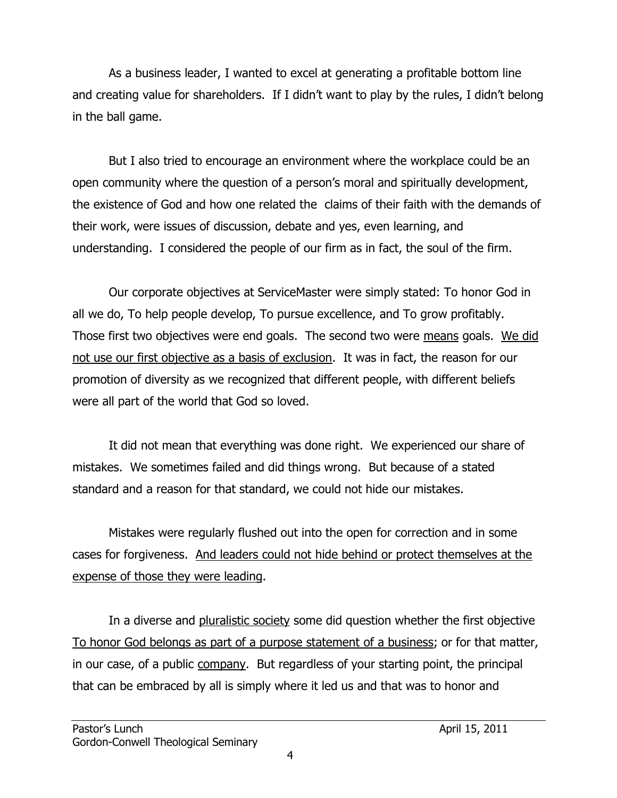As a business leader, I wanted to excel at generating a profitable bottom line and creating value for shareholders. If I didn't want to play by the rules, I didn't belong in the ball game.

But I also tried to encourage an environment where the workplace could be an open community where the question of a person's moral and spiritually development, the existence of God and how one related the claims of their faith with the demands of their work, were issues of discussion, debate and yes, even learning, and understanding. I considered the people of our firm as in fact, the soul of the firm.

Our corporate objectives at ServiceMaster were simply stated: To honor God in all we do, To help people develop, To pursue excellence, and To grow profitably. Those first two objectives were end goals. The second two were means goals. We did not use our first objective as a basis of exclusion. It was in fact, the reason for our promotion of diversity as we recognized that different people, with different beliefs were all part of the world that God so loved.

It did not mean that everything was done right. We experienced our share of mistakes. We sometimes failed and did things wrong. But because of a stated standard and a reason for that standard, we could not hide our mistakes.

Mistakes were regularly flushed out into the open for correction and in some cases for forgiveness. And leaders could not hide behind or protect themselves at the expense of those they were leading.

In a diverse and pluralistic society some did question whether the first objective To honor God belongs as part of a purpose statement of a business; or for that matter, in our case, of a public company. But regardless of your starting point, the principal that can be embraced by all is simply where it led us and that was to honor and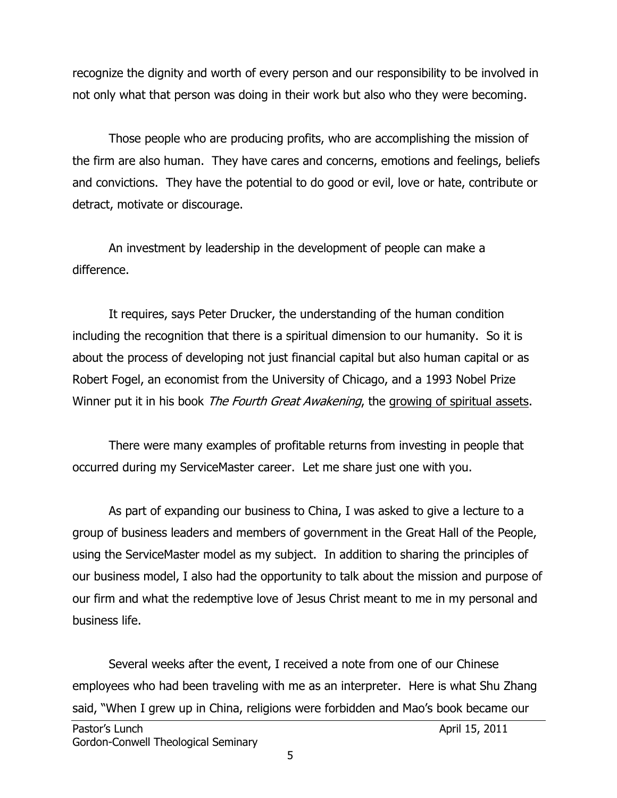recognize the dignity and worth of every person and our responsibility to be involved in not only what that person was doing in their work but also who they were becoming.

Those people who are producing profits, who are accomplishing the mission of the firm are also human. They have cares and concerns, emotions and feelings, beliefs and convictions. They have the potential to do good or evil, love or hate, contribute or detract, motivate or discourage.

An investment by leadership in the development of people can make a difference.

It requires, says Peter Drucker, the understanding of the human condition including the recognition that there is a spiritual dimension to our humanity. So it is about the process of developing not just financial capital but also human capital or as Robert Fogel, an economist from the University of Chicago, and a 1993 Nobel Prize Winner put it in his book *The Fourth Great Awakening*, the growing of spiritual assets.

There were many examples of profitable returns from investing in people that occurred during my ServiceMaster career. Let me share just one with you.

As part of expanding our business to China, I was asked to give a lecture to a group of business leaders and members of government in the Great Hall of the People, using the ServiceMaster model as my subject. In addition to sharing the principles of our business model, I also had the opportunity to talk about the mission and purpose of our firm and what the redemptive love of Jesus Christ meant to me in my personal and business life.

Several weeks after the event, I received a note from one of our Chinese employees who had been traveling with me as an interpreter. Here is what Shu Zhang said, "When I grew up in China, religions were forbidden and Mao's book became our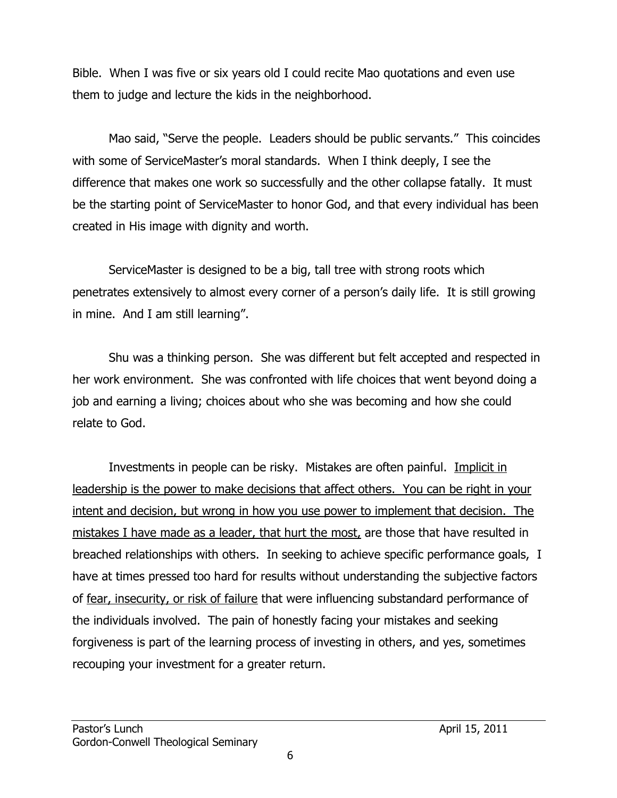Bible. When I was five or six years old I could recite Mao quotations and even use them to judge and lecture the kids in the neighborhood.

Mao said, "Serve the people. Leaders should be public servants." This coincides with some of ServiceMaster's moral standards. When I think deeply, I see the difference that makes one work so successfully and the other collapse fatally. It must be the starting point of ServiceMaster to honor God, and that every individual has been created in His image with dignity and worth.

ServiceMaster is designed to be a big, tall tree with strong roots which penetrates extensively to almost every corner of a person's daily life. It is still growing in mine. And I am still learning".

Shu was a thinking person. She was different but felt accepted and respected in her work environment. She was confronted with life choices that went beyond doing a job and earning a living; choices about who she was becoming and how she could relate to God.

Investments in people can be risky. Mistakes are often painful. Implicit in leadership is the power to make decisions that affect others. You can be right in your intent and decision, but wrong in how you use power to implement that decision. The mistakes I have made as a leader, that hurt the most, are those that have resulted in breached relationships with others. In seeking to achieve specific performance goals, I have at times pressed too hard for results without understanding the subjective factors of fear, insecurity, or risk of failure that were influencing substandard performance of the individuals involved. The pain of honestly facing your mistakes and seeking forgiveness is part of the learning process of investing in others, and yes, sometimes recouping your investment for a greater return.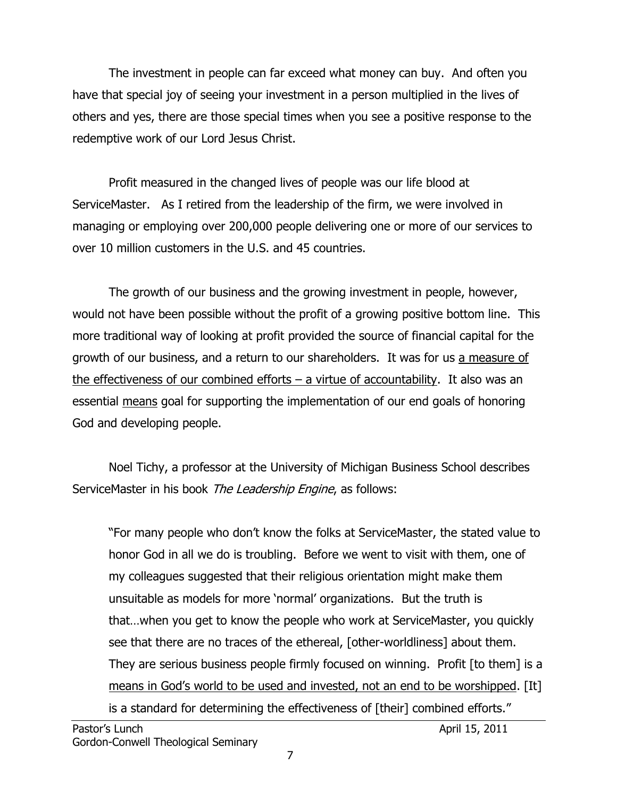The investment in people can far exceed what money can buy. And often you have that special joy of seeing your investment in a person multiplied in the lives of others and yes, there are those special times when you see a positive response to the redemptive work of our Lord Jesus Christ.

Profit measured in the changed lives of people was our life blood at ServiceMaster. As I retired from the leadership of the firm, we were involved in managing or employing over 200,000 people delivering one or more of our services to over 10 million customers in the U.S. and 45 countries.

The growth of our business and the growing investment in people, however, would not have been possible without the profit of a growing positive bottom line. This more traditional way of looking at profit provided the source of financial capital for the growth of our business, and a return to our shareholders. It was for us a measure of the effectiveness of our combined efforts  $-$  a virtue of accountability. It also was an essential means goal for supporting the implementation of our end goals of honoring God and developing people.

Noel Tichy, a professor at the University of Michigan Business School describes ServiceMaster in his book The Leadership Engine, as follows:

"For many people who don't know the folks at ServiceMaster, the stated value to honor God in all we do is troubling. Before we went to visit with them, one of my colleagues suggested that their religious orientation might make them unsuitable as models for more 'normal' organizations. But the truth is that…when you get to know the people who work at ServiceMaster, you quickly see that there are no traces of the ethereal, [other-worldliness] about them. They are serious business people firmly focused on winning. Profit [to them] is a means in God's world to be used and invested, not an end to be worshipped. [It] is a standard for determining the effectiveness of [their] combined efforts."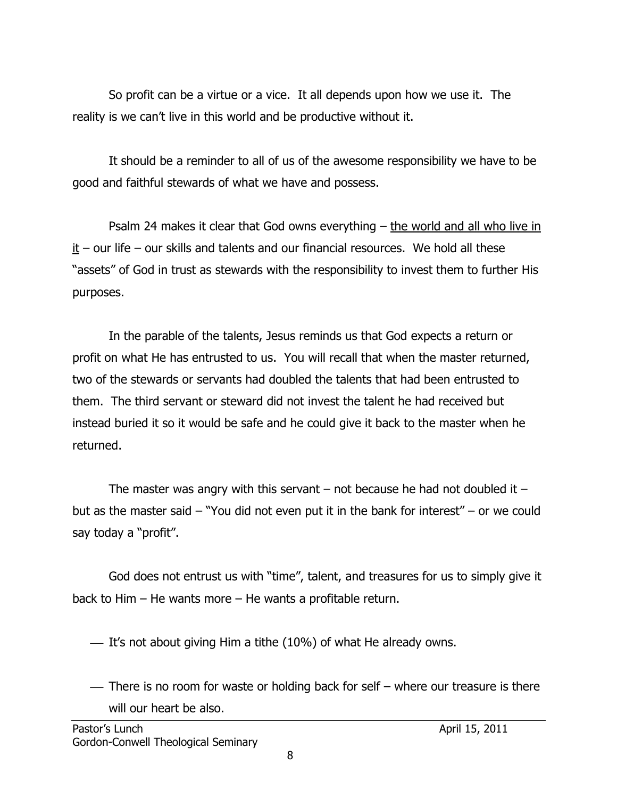So profit can be a virtue or a vice. It all depends upon how we use it. The reality is we can't live in this world and be productive without it.

It should be a reminder to all of us of the awesome responsibility we have to be good and faithful stewards of what we have and possess.

Psalm 24 makes it clear that God owns everything  $-$  the world and all who live in  $it$  – our life – our skills and talents and our financial resources. We hold all these "assets" of God in trust as stewards with the responsibility to invest them to further His purposes.

In the parable of the talents, Jesus reminds us that God expects a return or profit on what He has entrusted to us. You will recall that when the master returned, two of the stewards or servants had doubled the talents that had been entrusted to them. The third servant or steward did not invest the talent he had received but instead buried it so it would be safe and he could give it back to the master when he returned.

The master was angry with this servant  $-$  not because he had not doubled it  $$ but as the master said – "You did not even put it in the bank for interest" – or we could say today a "profit".

God does not entrust us with "time", talent, and treasures for us to simply give it back to Him – He wants more – He wants a profitable return.

 $\overline{\phantom{a}}$  It's not about giving Him a tithe (10%) of what He already owns.

 There is no room for waste or holding back for self – where our treasure is there will our heart be also.